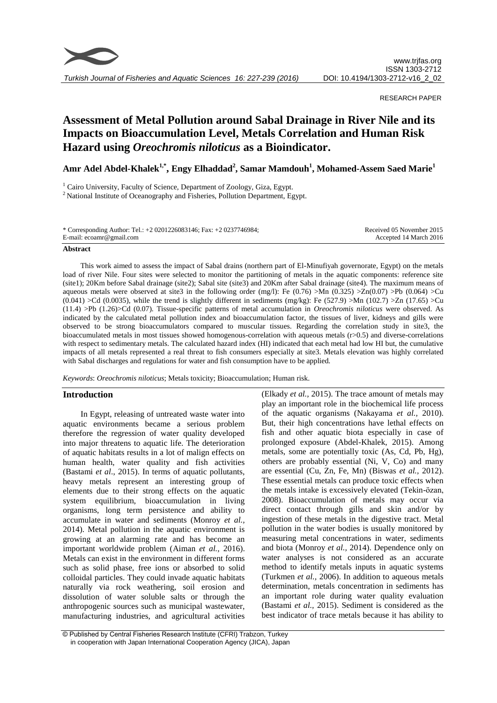

*Turkish Journal of Fisheries and Aquatic Sciences 16: 227-239 (2016)*

RESEARCH PAPER

# **Assessment of Metal Pollution around Sabal Drainage in River Nile and its Impacts on Bioaccumulation Level, Metals Correlation and Human Risk Hazard using** *Oreochromis niloticus* **as a Bioindicator.**

**Amr Adel Abdel-Khalek1,\* , Engy Elhaddad<sup>2</sup> , Samar Mamdouh<sup>1</sup> , Mohamed-Assem Saed Marie<sup>1</sup>**

<sup>1</sup> Cairo University, Faculty of Science, Department of Zoology, Giza, Egypt. <sup>2</sup> National Institute of Oceanography and Fisheries, Pollution Department, Egypt.

| * Corresponding Author: Tel.: $+20201226083146$ ; Fax: $+20237746984$ ; | Received 05 November 2015 |
|-------------------------------------------------------------------------|---------------------------|
| E-mail: ecoamr@gmail.com                                                | Accepted 14 March 2016    |

# **Abstract**

This work aimed to assess the impact of Sabal drains (northern part of El-Minufiyah governorate, Egypt) on the metals load of river Nile. Four sites were selected to monitor the partitioning of metals in the aquatic components: reference site (site1); 20Km before Sabal drainage (site2); Sabal site (site3) and 20Km after Sabal drainage (site4). The maximum means of aqueous metals were observed at site3 in the following order (mg/l): Fe (0.76) >Mn (0.325) >Zn(0.07) >Pb (0.064) >Cu  $(0.041) > Cd (0.0035)$ , while the trend is slightly different in sediments (mg/kg): Fe (527.9) >Mn (102.7) >Zn (17.65) >Cu (11.4) >Pb (1.26)>Cd (0.07). Tissue-specific patterns of metal accumulation in *Oreochromis niloticus* were observed. As indicated by the calculated metal pollution index and bioaccumulation factor, the tissues of liver, kidneys and gills were observed to be strong bioaccumulators compared to muscular tissues. Regarding the correlation study in site3, the bioaccumulated metals in most tissues showed homogenous-correlation with aqueous metals (r>0.5) and diverse-correlations with respect to sedimentary metals. The calculated hazard index (HI) indicated that each metal had low HI but, the cumulative impacts of all metals represented a real threat to fish consumers especially at site3. Metals elevation was highly correlated with Sabal discharges and regulations for water and fish consumption have to be applied.

*Keywords*: *Oreochromis niloticus*; Metals toxicity; Bioaccumulation; Human risk.

# **Introduction**

In Egypt, releasing of untreated waste water into aquatic environments became a serious problem therefore the regression of water quality developed into major threatens to aquatic life. The deterioration of aquatic habitats results in a lot of malign effects on human health, water quality and fish activities (Bastami *et al*., 2015). In terms of aquatic pollutants, heavy metals represent an interesting group of elements due to their strong effects on the aquatic system equilibrium, bioaccumulation in living organisms, long term persistence and ability to accumulate in water and sediments (Monroy *et al.,* 2014). Metal pollution in the aquatic environment is growing at an alarming rate and has become an important worldwide problem (Aiman *et al.,* 2016). Metals can exist in the environment in different forms such as solid phase, free ions or absorbed to solid colloidal particles. They could invade aquatic habitats naturally via rock weathering, soil erosion and dissolution of water soluble salts or through the anthropogenic sources such as municipal wastewater, manufacturing industries, and agricultural activities

(Elkady *et al.,* 2015). The trace amount of metals may play an important role in the biochemical life process of the aquatic organisms (Nakayama *et al.,* 2010). But, their high concentrations have lethal effects on fish and other aquatic biota especially in case of prolonged exposure (Abdel-Khalek, 2015). Among metals, some are potentially toxic (As, Cd, Pb, Hg), others are probably essential (Ni, V, Co) and many are essential (Cu, Zn, Fe, Mn) (Biswas *et al.,* 2012). These essential metals can produce toxic effects when the metals intake is excessively elevated (Tekin-özan, 2008). Bioaccumulation of metals may occur via direct contact through gills and skin and/or by ingestion of these metals in the digestive tract. Metal pollution in the water bodies is usually monitored by measuring metal concentrations in water, sediments and biota (Monroy *et al.,* 2014). Dependence only on water analyses is not considered as an accurate method to identify metals inputs in aquatic systems (Turkmen *et al.,* 2006). In addition to aqueous metals determination, metals concentration in sediments has an important role during water quality evaluation (Bastami *et al.,* 2015). Sediment is considered as the best indicator of trace metals because it has ability to

<sup>©</sup> Published by Central Fisheries Research Institute (CFRI) Trabzon, Turkey in cooperation with Japan International Cooperation Agency (JICA), Japan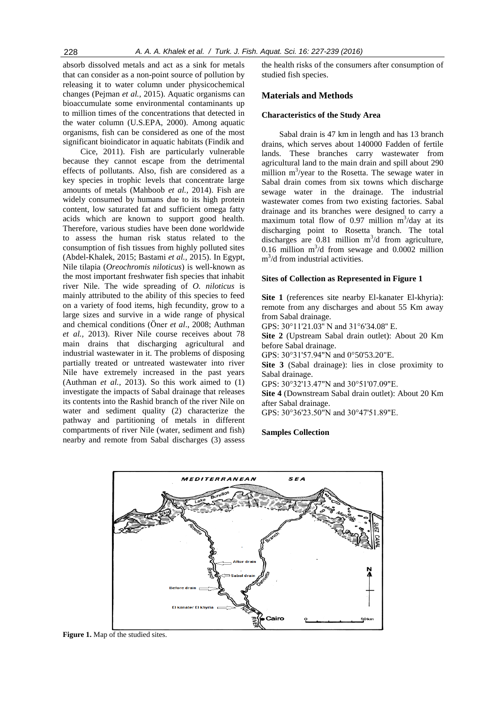absorb dissolved metals and act as a sink for metals that can consider as a non-point source of pollution by releasing it to water column under physicochemical changes (Pejman *et al.,* 2015). Aquatic organisms can bioaccumulate some environmental contaminants up to million times of the concentrations that detected in the water column (U.S.EPA, 2000). Among aquatic organisms, fish can be considered as one of the most significant bioindicator in aquatic habitats (Findik and

Cice, 2011). Fish are particularly vulnerable because they cannot escape from the detrimental effects of pollutants. Also, fish are considered as a key species in trophic levels that concentrate large amounts of metals (Mahboob *et al.,* 2014). Fish are widely consumed by humans due to its high protein content, low saturated fat and sufficient omega fatty acids which are known to support good health. Therefore, various studies have been done worldwide to assess the human risk status related to the consumption of fish tissues from highly polluted sites (Abdel-Khalek, 2015; Bastami *et al.,* 2015). In Egypt, Nile tilapia (*Oreochromis niloticus*) is well-known as the most important freshwater fish species that inhabit river Nile. The wide spreading of *O. niloticus* is mainly attributed to the ability of this species to feed on a variety of food items, high fecundity, grow to a large sizes and survive in a wide range of physical and chemical conditions (Öner *et al*., 2008; Authman *et al.,* 2013). River Nile course receives about 78 main drains that discharging agricultural and industrial wastewater in it. The problems of disposing partially treated or untreated wastewater into river Nile have extremely increased in the past years (Authman *et al.,* 2013). So this work aimed to (1) investigate the impacts of Sabal drainage that releases its contents into the Rashid branch of the river Nile on water and sediment quality (2) characterize the pathway and partitioning of metals in different compartments of river Nile (water, sediment and fish) nearby and remote from Sabal discharges (3) assess the health risks of the consumers after consumption of studied fish species.

# **Materials and Methods**

#### **Characteristics of the Study Area**

Sabal drain is 47 km in length and has 13 branch drains, which serves about 140000 Fadden of fertile lands. These branches carry wastewater from agricultural land to the main drain and spill about 290 million  $m^3$ /year to the Rosetta. The sewage water in Sabal drain comes from six towns which discharge sewage water in the drainage. The industrial wastewater comes from two existing factories. Sabal drainage and its branches were designed to carry a maximum total flow of 0.97 million  $m^3/day$  at its discharging point to Rosetta branch. The total discharges are  $0.81$  million m<sup>3</sup>/d from agriculture, 0.16 million  $m^3/d$  from sewage and 0.0002 million m 3 /d from industrial activities.

#### **Sites of Collection as Represented in Figure 1**

**Site 1** (references site nearby El-kanater El-khyria): remote from any discharges and about 55 Km away from Sabal drainage.

GPS: 30°11'21.03'' N and 31°6'34.08'' E.

**Site 2** (Upstream Sabal drain outlet): About 20 Km before Sabal drainage.

GPS: 30°31'57.94"N and 0°50'53.20"E.

**Site 3** (Sabal drainage): lies in close proximity to Sabal drainage.

GPS: 30°32'13.47"N and 30°51'07.09"E.

**Site 4** (Downstream Sabal drain outlet): About 20 Km after Sabal drainage.

GPS: 30°36'23.50"N and 30°47'51.89"E.

### **Samples Collection**



**Figure 1.** Map of the studied sites.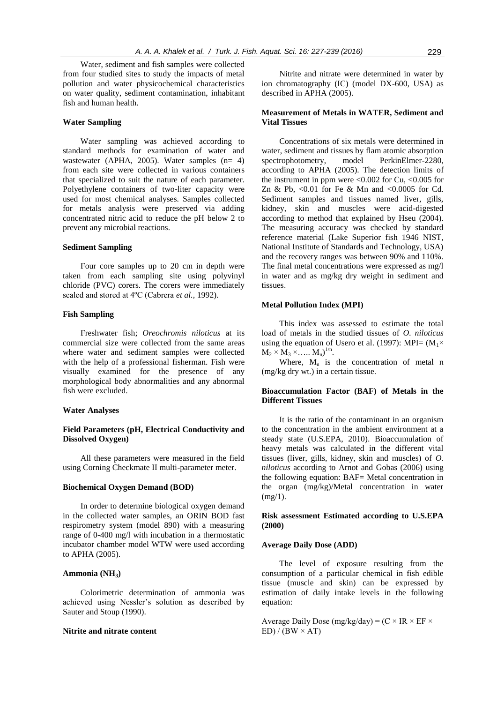Water, sediment and fish samples were collected from four studied sites to study the impacts of metal pollution and water physicochemical characteristics on water quality, sediment contamination, inhabitant fish and human health.

#### **Water Sampling**

Water sampling was achieved according to standard methods for examination of water and wastewater (APHA, 2005). Water samples (n= 4) from each site were collected in various containers that specialized to suit the nature of each parameter. Polyethylene containers of two-liter capacity were used for most chemical analyses. Samples collected for metals analysis were preserved via adding concentrated nitric acid to reduce the pH below 2 to prevent any microbial reactions.

# **Sediment Sampling**

Four core samples up to 20 cm in depth were taken from each sampling site using polyvinyl chloride (PVC) corers. The corers were immediately sealed and stored at 4ºC (Cabrera *et al.,* 1992).

# **Fish Sampling**

Freshwater fish; *Oreochromis niloticus* at its commercial size were collected from the same areas where water and sediment samples were collected with the help of a professional fisherman. Fish were visually examined for the presence of any morphological body abnormalities and any abnormal fish were excluded.

### **Water Analyses**

# **Field Parameters (pH, Electrical Conductivity and Dissolved Oxygen)**

All these parameters were measured in the field using Corning Checkmate II multi-parameter meter.

#### **Biochemical Oxygen Demand (BOD)**

In order to determine biological oxygen demand in the collected water samples, an ORIN BOD fast respirometry system (model 890) with a measuring range of 0-400 mg/l with incubation in a thermostatic incubator chamber model WTW were used according to APHA (2005).

# **Ammonia (NH3)**

Colorimetric determination of ammonia was achieved using Nessler's solution as described by Sauter and Stoup (1990).

### **Nitrite and nitrate content**

Nitrite and nitrate were determined in water by ion chromatography (IC) (model DX-600, USA) as described in APHA (2005).

# **Measurement of Metals in WATER, Sediment and Vital Tissues**

Concentrations of six metals were determined in water, sediment and tissues by flam atomic absorption spectrophotometry, model PerkinElmer-2280, according to APHA (2005). The detection limits of the instrument in ppm were  $\leq 0.002$  for Cu,  $\leq 0.005$  for Zn & Pb,  $\leq 0.01$  for Fe & Mn and  $\leq 0.0005$  for Cd. Sediment samples and tissues named liver, gills, kidney, skin and muscles were acid-digested according to method that explained by Hseu (2004). The measuring accuracy was checked by standard reference material (Lake Superior fish 1946 NIST, National Institute of Standards and Technology, USA) and the recovery ranges was between 90% and 110%. The final metal concentrations were expressed as mg/l in water and as mg/kg dry weight in sediment and tissues.

### **Metal Pollution Index (MPI)**

This index was assessed to estimate the total load of metals in the studied tissues of *O. niloticus* using the equation of Usero et al. (1997): MPI=  $(M_1 \times$  $M_2 \times M_3 \times \ldots \times M_n$ <sup>1/n</sup>.

Where,  $M_n$  is the concentration of metal n (mg/kg dry wt.) in a certain tissue.

# **Bioaccumulation Factor (BAF) of Metals in the Different Tissues**

It is the ratio of the contaminant in an organism to the concentration in the ambient environment at a steady state (U.S.EPA, 2010). Bioaccumulation of heavy metals was calculated in the different vital tissues (liver, gills, kidney, skin and muscles) of *O. niloticus* according to Arnot and Gobas (2006) using the following equation: BAF= Metal concentration in the organ (mg/kg)/Metal concentration in water  $(mg/1)$ .

# **Risk assessment Estimated according to U.S.EPA (2000)**

#### **Average Daily Dose (ADD)**

The level of exposure resulting from the consumption of a particular chemical in fish edible tissue (muscle and skin) can be expressed by estimation of daily intake levels in the following equation:

Average Daily Dose (mg/kg/day) =  $(C \times IR \times EF \times$  $ED$ ) / (BW  $\times$  AT)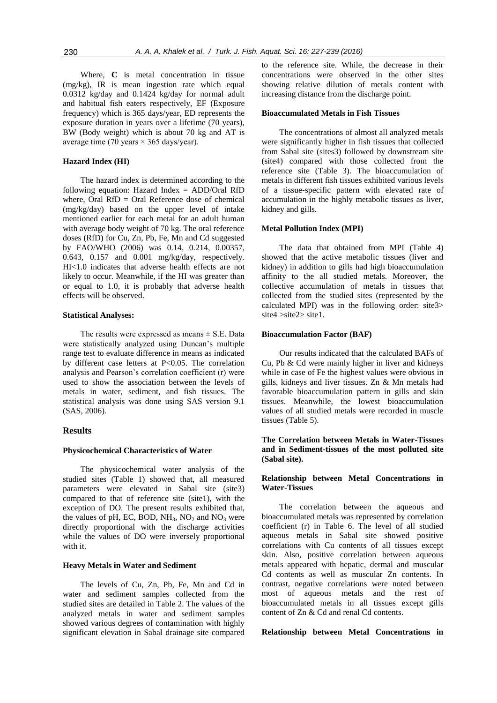Where, **C** is metal concentration in tissue  $(mg/kg)$ . IR is mean ingestion rate which equal 0.0312 kg/day and 0.1424 kg/day for normal adult and habitual fish eaters respectively, EF (Exposure frequency) which is 365 days/year, ED represents the exposure duration in years over a lifetime (70 years), BW (Body weight) which is about 70 kg and AT is average time (70 years × 365 days/year).

### **Hazard Index (HI)**

The hazard index is determined according to the following equation: Hazard Index = ADD/Oral RfD where, Oral RfD = Oral Reference dose of chemical (mg/kg/day) based on the upper level of intake mentioned earlier for each metal for an adult human with average body weight of 70 kg. The oral reference doses (RfD) for Cu, Zn, Pb, Fe, Mn and Cd suggested by FAO/WHO (2006) was 0.14, 0.214, 0.00357, 0.643, 0.157 and 0.001 mg/kg/day, respectively. HI<1.0 indicates that adverse health effects are not likely to occur. Meanwhile, if the HI was greater than or equal to 1.0, it is probably that adverse health effects will be observed.

#### **Statistical Analyses:**

The results were expressed as means  $\pm$  S.E. Data were statistically analyzed using Duncan's multiple range test to evaluate difference in means as indicated by different case letters at P<0.05. The correlation analysis and Pearson's correlation coefficient (r) were used to show the association between the levels of metals in water, sediment, and fish tissues. The statistical analysis was done using SAS version 9.1 (SAS, 2006).

### **Results**

#### **Physicochemical Characteristics of Water**

The physicochemical water analysis of the studied sites (Table 1) showed that, all measured parameters were elevated in Sabal site (site3) compared to that of reference site (site1), with the exception of DO. The present results exhibited that, the values of pH, EC, BOD,  $NH_3$ , NO<sub>2</sub> and NO<sub>3</sub> were directly proportional with the discharge activities while the values of DO were inversely proportional with it.

### **Heavy Metals in Water and Sediment**

The levels of Cu, Zn, Pb, Fe, Mn and Cd in water and sediment samples collected from the studied sites are detailed in Table 2. The values of the analyzed metals in water and sediment samples showed various degrees of contamination with highly significant elevation in Sabal drainage site compared to the reference site. While, the decrease in their concentrations were observed in the other sites showing relative dilution of metals content with increasing distance from the discharge point.

# **Bioaccumulated Metals in Fish Tissues**

The concentrations of almost all analyzed metals were significantly higher in fish tissues that collected from Sabal site (sites3) followed by downstream site (site4) compared with those collected from the reference site (Table 3). The bioaccumulation of metals in different fish tissues exhibited various levels of a tissue-specific pattern with elevated rate of accumulation in the highly metabolic tissues as liver, kidney and gills.

#### **Metal Pollution Index (MPI)**

The data that obtained from MPI (Table 4) showed that the active metabolic tissues (liver and kidney) in addition to gills had high bioaccumulation affinity to the all studied metals. Moreover, the collective accumulation of metals in tissues that collected from the studied sites (represented by the calculated MPI) was in the following order: site3> site4 >site2> site1.

#### **Bioaccumulation Factor (BAF)**

Our results indicated that the calculated BAFs of Cu, Pb & Cd were mainly higher in liver and kidneys while in case of Fe the highest values were obvious in gills, kidneys and liver tissues. Zn & Mn metals had favorable bioaccumulation pattern in gills and skin tissues. Meanwhile, the lowest bioaccumulation values of all studied metals were recorded in muscle tissues (Table 5).

# **The Correlation between Metals in Water-Tissues and in Sediment-tissues of the most polluted site (Sabal site).**

# **Relationship between Metal Concentrations in Water-Tissues**

The correlation between the aqueous and bioaccumulated metals was represented by correlation coefficient (r) in Table 6. The level of all studied aqueous metals in Sabal site showed positive correlations with Cu contents of all tissues except skin. Also, positive correlation between aqueous metals appeared with hepatic, dermal and muscular Cd contents as well as muscular Zn contents. In contrast, negative correlations were noted between most of aqueous metals and the rest of bioaccumulated metals in all tissues except gills content of Zn & Cd and renal Cd contents.

**Relationship between Metal Concentrations in**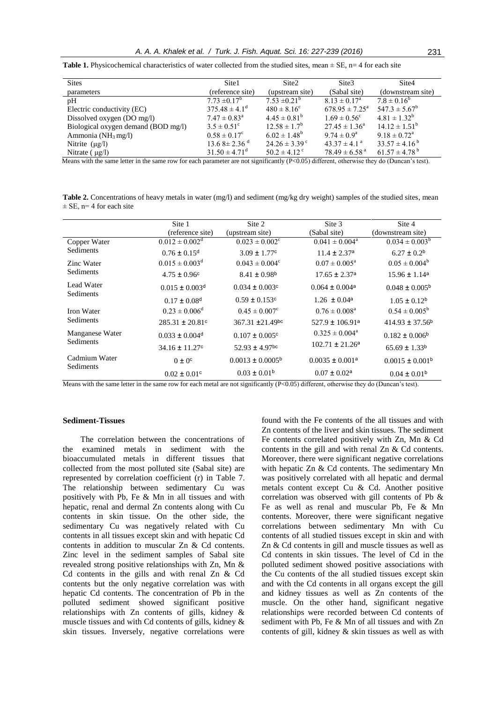| <b>Sites</b>                        | Site1                         | Site2                        | Site3                         | Site4                         |
|-------------------------------------|-------------------------------|------------------------------|-------------------------------|-------------------------------|
| parameters                          | (reference site)              | (upstream site)              | (Sabal site)                  | (downstream site)             |
| pH                                  | $7.73 \pm 0.17^b$             | $7.53 \pm 0.21^b$            | $8.13 \pm 0.17^{\rm a}$       | $7.8 \pm 0.16^b$              |
| Electric conductivity (EC)          | $375.48 \pm 4.1^{\circ}$      | $480 \pm 8.16^{\circ}$       | $678.95 \pm 7.25^{\circ}$     | $547.3 \pm 5.67^b$            |
| Dissolved oxygen (DO mg/l)          | $7.47 \pm 0.83^{\text{a}}$    | $4.45 \pm 0.81^{\rm b}$      | $1.69 \pm 0.56^{\circ}$       | $4.81 \pm 1.32^b$             |
| Biological oxygen demand (BOD mg/l) | $3.5 \pm 0.51^{\circ}$        | $12.58 \pm 1.7^b$            | $27.45 \pm 1.36^{\circ}$      | $14.12 \pm 1.51^{\circ}$      |
| Ammonia ( $NH_3$ mg/l)              | $0.58 \pm 0.17^c$             | $6.02 \pm 1.48^b$            | $9.74 \pm 0.9^{\rm a}$        | $9.18 \pm 0.72^{\text{a}}$    |
| Nitrite $(\mu g/l)$                 | 13.6 $8 \pm 2.36$ d           | $24.26 \pm 3.39$ °           | $43.37 \pm 4.1$ <sup>a</sup>  | $33.57 \pm 4.16^{\mathrm{b}}$ |
| Nitrate $(\mu g/l)$                 | $31.50 \pm 4.71$ <sup>d</sup> | $50.2 \pm 4.12$ <sup>c</sup> | $78.49 \pm 6.58$ <sup>a</sup> | $61.57 \pm 4.78^{\text{b}}$   |

**Table 1.** Physicochemical characteristics of water collected from the studied sites, mean  $\pm$  SE, n= 4 for each site

Means with the same letter in the same row for each parameter are not significantly (P<0.05) different, otherwise they do (Duncan's test).

**Table 2.** Concentrations of heavy metals in water (mg/l) and sediment (mg/kg dry weight) samples of the studied sites, mean  $\pm$  SE, n= 4 for each site

|                                   | Site 1<br>(reference site)      | Site 2<br>(upstream site)        | Site 3<br>(Sabal site)          | Site 4<br>(downstream site)   |
|-----------------------------------|---------------------------------|----------------------------------|---------------------------------|-------------------------------|
|                                   |                                 |                                  |                                 |                               |
| Copper Water                      | $0.012 \pm 0.002$ <sup>d</sup>  | $0.023 \pm 0.002^c$              | $0.041 \pm 0.004^a$             | $0.034 \pm 0.003^b$           |
| Sediments                         | $0.76 \pm 0.15$ <sup>d</sup>    | $3.09 \pm 1.77$ c                | $11.4 \pm 2.37$ <sup>a</sup>    | $6.27 \pm 0.2^b$              |
| Zinc Water                        | $0.015 \pm 0.003$ <sup>d</sup>  | $0.043 \pm 0.004^c$              | $0.07 \pm 0.005^{\text{a}}$     | $0.05 \pm 0.004^b$            |
| Sediments                         | $4.75 \pm 0.96$ c               | $8.41 \pm 0.98$ <sup>b</sup>     | $17.65 \pm 2.37$ <sup>a</sup>   | $15.96 \pm 1.14$ <sup>a</sup> |
| Lead Water<br>Sediments           | $0.015 \pm 0.003$ <sup>d</sup>  | $0.034 \pm 0.003$ c              | $0.064 \pm 0.004$ <sup>a</sup>  | $0.048 \pm 0.005^{\circ}$     |
|                                   | $0.17 \pm 0.08$ <sup>d</sup>    | $0.59 \pm 0.153$ <sup>c</sup>    | $1.26 \pm 0.04^a$               | $1.05 \pm 0.12^b$             |
| Iron Water                        | $0.23 \pm 0.006^d$              | $0.45 \pm 0.007^{\circ}$         | $0.76 \pm 0.008^a$              | $0.54 \pm 0.005^b$            |
| <b>Sediments</b>                  | $285.31 \pm 20.81$ <sup>c</sup> | 367.31 $\pm$ 21.49 <sup>bc</sup> | $527.9 \pm 106.91$ <sup>a</sup> | $414.93 \pm 37.56^{\circ}$    |
| Manganese Water                   | $0.033 \pm 0.004$ <sup>d</sup>  | $0.107 \pm 0.005$ <sup>c</sup>   | $0.325 \pm 0.004^{\circ}$       | $0.182 \pm 0.006^{\circ}$     |
| Sediments                         | $34.16 \pm 11.27$ <sup>c</sup>  | $52.93 \pm 4.97$ <sup>bc</sup>   | $102.71 \pm 21.26^a$            | $65.69 \pm 1.33^b$            |
| Cadmium Water<br><b>Sediments</b> | $0 \pm 0$ c                     | $0.0013 \pm 0.0005^{\circ}$      | $0.0035 \pm 0.001$ <sup>a</sup> | $0.0015 \pm 0.001^{\circ}$    |
|                                   | $0.02 \pm 0.01$ c               | $0.03 \pm 0.01^{\circ}$          | $0.07 \pm 0.02$ <sup>a</sup>    | $0.04 \pm 0.01^{\rm b}$       |

Means with the same letter in the same row for each metal are not significantly (P<0.05) different, otherwise they do (Duncan's test).

# **Sediment-Tissues**

The correlation between the concentrations of the examined metals in sediment with the bioaccumulated metals in different tissues that collected from the most polluted site (Sabal site) are represented by correlation coefficient (r) in Table 7. The relationship between sedimentary Cu was positively with Pb, Fe & Mn in all tissues and with hepatic, renal and dermal Zn contents along with Cu contents in skin tissue. On the other side, the sedimentary Cu was negatively related with Cu contents in all tissues except skin and with hepatic Cd contents in addition to muscular Zn & Cd contents. Zinc level in the sediment samples of Sabal site revealed strong positive relationships with Zn, Mn & Cd contents in the gills and with renal Zn & Cd contents but the only negative correlation was with hepatic Cd contents. The concentration of Pb in the polluted sediment showed significant positive relationships with Zn contents of gills, kidney & muscle tissues and with Cd contents of gills, kidney & skin tissues. Inversely, negative correlations were

found with the Fe contents of the all tissues and with Zn contents of the liver and skin tissues. The sediment Fe contents correlated positively with Zn, Mn & Cd contents in the gill and with renal Zn & Cd contents. Moreover, there were significant negative correlations with hepatic Zn & Cd contents. The sedimentary Mn was positively correlated with all hepatic and dermal metals content except Cu & Cd. Another positive correlation was observed with gill contents of Pb & Fe as well as renal and muscular Pb, Fe & Mn contents. Moreover, there were significant negative correlations between sedimentary Mn with Cu contents of all studied tissues except in skin and with Zn & Cd contents in gill and muscle tissues as well as Cd contents in skin tissues. The level of Cd in the polluted sediment showed positive associations with the Cu contents of the all studied tissues except skin and with the Cd contents in all organs except the gill and kidney tissues as well as Zn contents of the muscle. On the other hand, significant negative relationships were recorded between Cd contents of sediment with Pb, Fe & Mn of all tissues and with Zn contents of gill, kidney & skin tissues as well as with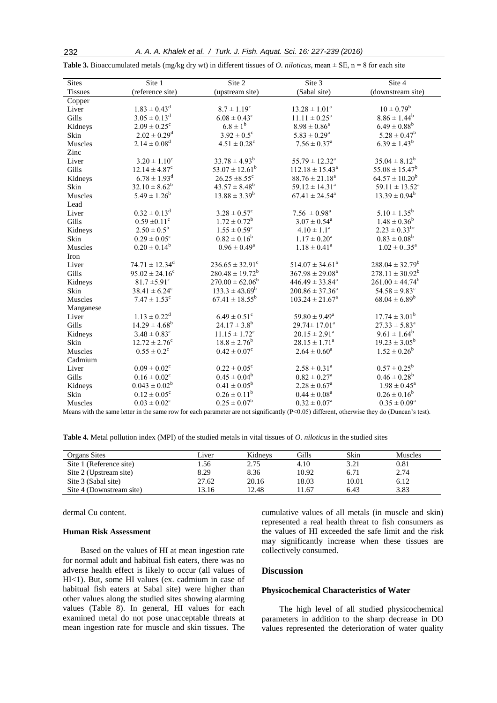| <b>Sites</b>   | Site 1                         | Site 2                        | Site 3                      | Site 4                        |
|----------------|--------------------------------|-------------------------------|-----------------------------|-------------------------------|
| <b>Tissues</b> | (reference site)               | (upstream site)               | (Sabal site)                | (downstream site)             |
| Copper         |                                |                               |                             |                               |
| Liver          | $1.83 \pm 0.43^d$              | $8.7 \pm 1.19^c$              | $13.28 \pm 1.01^a$          | $10 \pm 0.79^b$               |
| Gills          | $3.05 \pm 0.13^d$              | $6.08 \pm 0.43^{\circ}$       | $11.11 \pm 0.25^{\text{a}}$ | $8.86 \pm 1.44^b$             |
| Kidneys        | $2.09 \pm 0.25$ <sup>c</sup>   | $6.8 \pm 1^{b}$               | $8.98 \pm 0.86^a$           | $6.49 \pm 0.88^b$             |
| Skin           | $2.02 \pm 0.29$ <sup>d</sup>   | $3.92 \pm 0.5^{\circ}$        | $5.83 \pm 0.29^{\rm a}$     | $5.28 \pm 0.47^b$             |
| Muscles        | $2.14 \pm 0.08$ <sup>d</sup>   | $4.51\pm0.28^{\rm c}$         | $7.56 \pm 0.37^{\rm a}$     | $6.39 \pm 1.43^b$             |
| Zinc           |                                |                               |                             |                               |
| Liver          | $3.20 \pm 1.10^c$              | $33.78 \pm 4.93^b$            | $55.79 \pm 12.32^{\circ}$   | $35.04 \pm 8.12^b$            |
| Gills          | $12.14 \pm 4.87$ <sup>c</sup>  | $53.07 \pm 12.61^b$           | $112.18 \pm 15.43^a$        | $55.08 \pm 15.47^b$           |
| Kidneys        | $6.78 \pm 1.93^d$              | $26.25 \pm 8.55$ °            | $88.76 \pm 21.18^a$         | $64.57 \pm 10.20^b$           |
| Skin           | $32.10 \pm 8.62^b$             | $43.57 \pm 8.48^b$            | $59.12 \pm 14.31^a$         | $59.11 \pm 13.52^{\text{a}}$  |
| Muscles        | $5.49 \pm 1.26^b$              | $13.88 \pm 3.39^b$            | $67.41 \pm 24.54^a$         | $13.39 \pm 0.94^b$            |
| Lead           |                                |                               |                             |                               |
| Liver          | $0.32 \pm 0.13^d$              | $3.28 \pm 0.57^{\circ}$       | $7.56 \pm 0.98^{\text{a}}$  | $5.10 \pm 1.35^b$             |
| Gills          | $0.59 \pm 0.11$ <sup>c</sup>   | $1.72 \pm 0.72^b$             | $3.07 \pm 0.54^{\text{a}}$  | $1.48 \pm 0.36^b$             |
| Kidneys        | $2.50 \pm 0.5^b$               | $1.55 \pm 0.59^c$             | $4.10 \pm 1.1^a$            | $2.23 \pm 0.33^{bc}$          |
| Skin           | $0.29 \pm 0.05^{\circ}$        | $0.82 \pm 0.16^b$             | $1.17 \pm 0.20^a$           | $0.83\pm0.08^{\rm b}$         |
| <b>Muscles</b> | $0.20 \pm 0.14^b$              | $0.96 \pm 0.49^{\rm a}$       | $1.18 \pm 0.41^{\circ}$     | $1.02 \pm 0.35^{\text{a}}$    |
| Iron           |                                |                               |                             |                               |
| Liver          | $74.71 \pm 12.34$ <sup>d</sup> | $236.65 \pm 32.91^{\circ}$    | $514.07 \pm 34.61^a$        | $288.04 \pm 32.79^b$          |
| Gills          | $95.02 \pm 24.16^{\circ}$      | $280.48 \pm 19.72^b$          | $367.98 \pm 29.08^a$        | $278.11 \pm 30.92^b$          |
| Kidneys        | $81.7 \pm 5.91$ <sup>c</sup>   | $270.00 \pm 62.06^b$          | $446.49 \pm 33.84^a$        | $261.00 \pm 44.74^b$          |
| Skin           | $38.41 \pm 6.24^c$             | $133.3 \pm 43.69^b$           | $200.86 \pm 37.36^a$        | $54.58 \pm 9.83$ <sup>c</sup> |
| Muscles        | $7.47 \pm 1.53$ <sup>c</sup>   | $67.41 \pm 18.55^b$           | $103.24 \pm 21.67^a$        | $68.04 \pm 6.89^b$            |
| Manganese      |                                |                               |                             |                               |
| Liver          | $1.13 \pm 0.22$ <sup>d</sup>   | $6.49 \pm 0.51$ <sup>c</sup>  | $59.80 \pm 9.49^{\circ}$    | $17.74 \pm 3.01^b$            |
| Gills          | $14.29 \pm 4.68^b$             | $24.17 \pm 3.8^b$             | $29.74 \pm 17.01^a$         | $27.33 \pm 5.83^a$            |
| Kidneys        | $3.48 \pm 0.83^c$              | $11.15 \pm 1.72$ <sup>c</sup> | $20.15 \pm 2.91^a$          | $9.61 \pm 1.64^b$             |
| Skin           | $12.72 \pm 2.76^{\circ}$       | $18.8 \pm 2.76^b$             | $28.15 \pm 1.71^a$          | $19.23 \pm 3.05^b$            |
| Muscles        | $0.55 \pm 0.2^{\circ}$         | $0.42 \pm 0.07^c$             | $2.64 \pm 0.60^a$           | $1.52 \pm 0.26^b$             |
| Cadmium        |                                |                               |                             |                               |
| Liver          | $0.09 \pm 0.02^c$              | $0.22 \pm 0.05^c$             | $2.58 \pm 0.31^a$           | $0.57 \pm 0.25^b$             |
| Gills          | $0.16 \pm 0.02^c$              | $0.45 \pm 0.04^b$             | $0.82 \pm 0.27^{\rm a}$     | $0.46 \pm 0.28^b$             |
| Kidneys        | $0.043 \pm 0.02^b$             | $0.41 \pm 0.05^b$             | $2.28 \pm 0.67^{\rm a}$     | $1.98 \pm 0.45^{\text{a}}$    |
| Skin           | $0.12 \pm 0.05^{\circ}$        | $0.26 \pm 0.11^b$             | $0.44\pm0.08^{\rm a}$       | $0.26 \pm 0.16^b$             |
| Muscles        | $0.03 \pm 0.02^{\circ}$        | $0.25 \pm 0.07^b$             | $0.32\pm0.07^{\rm a}$       | $0.35 \pm 0.09^a$             |

**Table 3.** Bioaccumulated metals (mg/kg dry wt) in different tissues of *O. niloticus*, mean  $\pm$  SE, n = 8 for each site

Means with the same letter in the same row for each parameter are not significantly  $(P<0.05)$  different, otherwise they do (Duncan's test).

**Table 4.** Metal pollution index (MPI) of the studied metals in vital tissues of *O. niloticus* in the studied sites

| Organs Sites             | Liver | Kidneys | Gills | Skin  | Muscles |
|--------------------------|-------|---------|-------|-------|---------|
| Site 1 (Reference site)  | . 56  | 2.75    | 4.10  | 3.21  | 0.81    |
| Site 2 (Upstream site)   | 8.29  | 8.36    | 10.92 | 6.71  | 2.74    |
| Site 3 (Sabal site)      | 27.62 | 20.16   | 18.03 | 10.01 | 6.12    |
| Site 4 (Downstream site) | 13.16 | 12.48   | 1.67  | 6.43  | 3.83    |

dermal Cu content.

### **Human Risk Assessment**

Based on the values of HI at mean ingestion rate for normal adult and habitual fish eaters, there was no adverse health effect is likely to occur (all values of HI<1). But, some HI values (ex. cadmium in case of habitual fish eaters at Sabal site) were higher than other values along the studied sites showing alarming values (Table 8). In general, HI values for each examined metal do not pose unacceptable threats at mean ingestion rate for muscle and skin tissues. The

cumulative values of all metals (in muscle and skin) represented a real health threat to fish consumers as the values of HI exceeded the safe limit and the risk may significantly increase when these tissues are collectively consumed.

# **Discussion**

### **Physicochemical Characteristics of Water**

The high level of all studied physicochemical parameters in addition to the sharp decrease in DO values represented the deterioration of water quality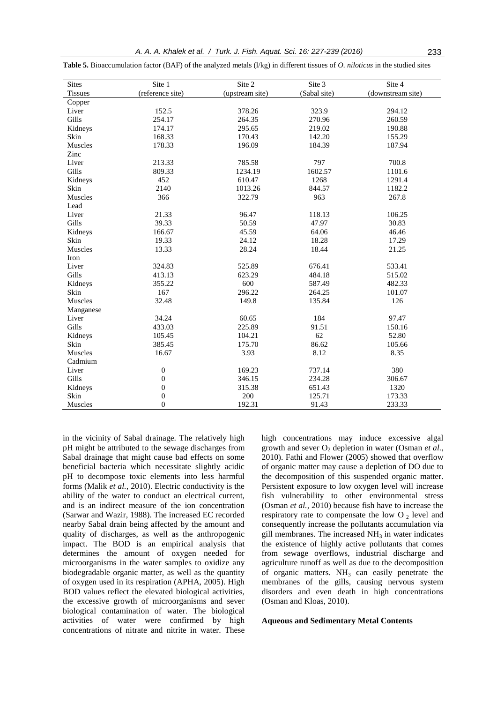| <b>Sites</b>   | Site 1           | Site 2          | Site 3       | Site 4            |
|----------------|------------------|-----------------|--------------|-------------------|
| <b>Tissues</b> | (reference site) | (upstream site) | (Sabal site) | (downstream site) |
| Copper         |                  |                 |              |                   |
| Liver          | 152.5            | 378.26          | 323.9        | 294.12            |
| Gills          | 254.17           | 264.35          | 270.96       | 260.59            |
| Kidneys        | 174.17           | 295.65          | 219.02       | 190.88            |
| Skin           | 168.33           | 170.43          | 142.20       | 155.29            |
| <b>Muscles</b> | 178.33           | 196.09          | 184.39       | 187.94            |
| Zinc           |                  |                 |              |                   |
| Liver          | 213.33           | 785.58          | 797          | 700.8             |
| Gills          | 809.33           | 1234.19         | 1602.57      | 1101.6            |
| Kidneys        | 452              | 610.47          | 1268         | 1291.4            |
| Skin           | 2140             | 1013.26         | 844.57       | 1182.2            |
| Muscles        | 366              | 322.79          | 963          | 267.8             |
| Lead           |                  |                 |              |                   |
| Liver          | 21.33            | 96.47           | 118.13       | 106.25            |
| Gills          | 39.33            | 50.59           | 47.97        | 30.83             |
| Kidneys        | 166.67           | 45.59           | 64.06        | 46.46             |
| Skin           | 19.33            | 24.12           | 18.28        | 17.29             |
| <b>Muscles</b> | 13.33            | 28.24           | 18.44        | 21.25             |
| Iron           |                  |                 |              |                   |
| Liver          | 324.83           | 525.89          | 676.41       | 533.41            |
| Gills          | 413.13           | 623.29          | 484.18       | 515.02            |
| Kidneys        | 355.22           | 600             | 587.49       | 482.33            |
| Skin           | 167              | 296.22          | 264.25       | 101.07            |
| Muscles        | 32.48            | 149.8           | 135.84       | 126               |
| Manganese      |                  |                 |              |                   |
| Liver          | 34.24            | 60.65           | 184          | 97.47             |
| Gills          | 433.03           | 225.89          | 91.51        | 150.16            |
| Kidneys        | 105.45           | 104.21          | 62           | 52.80             |
| Skin           | 385.45           | 175.70          | 86.62        | 105.66            |
| <b>Muscles</b> | 16.67            | 3.93            | 8.12         | 8.35              |
| Cadmium        |                  |                 |              |                   |
| Liver          | $\boldsymbol{0}$ | 169.23          | 737.14       | 380               |
| Gills          | $\boldsymbol{0}$ | 346.15          | 234.28       | 306.67            |
| Kidneys        | $\overline{0}$   | 315.38          | 651.43       | 1320              |
| Skin           | $\boldsymbol{0}$ | 200             | 125.71       | 173.33            |
| Muscles        | $\boldsymbol{0}$ | 192.31          | 91.43        | 233.33            |

**Table 5.** Bioaccumulation factor (BAF) of the analyzed metals (l/kg) in different tissues of *O. niloticus* in the studied sites

in the vicinity of Sabal drainage. The relatively high pH might be attributed to the sewage discharges from Sabal drainage that might cause bad effects on some beneficial bacteria which necessitate slightly acidic pH to decompose toxic elements into less harmful forms (Malik *et al.,* 2010). Electric conductivity is the ability of the water to conduct an electrical current, and is an indirect measure of the ion concentration (Sarwar and Wazir, 1988). The increased EC recorded nearby Sabal drain being affected by the amount and quality of discharges, as well as the anthropogenic impact. The BOD is an empirical analysis that determines the amount of oxygen needed for microorganisms in the water samples to oxidize any biodegradable organic matter, as well as the quantity of oxygen used in its respiration (APHA, 2005). High BOD values reflect the elevated biological activities, the excessive growth of microorganisms and sever biological contamination of water. The biological activities of water were confirmed by high concentrations of nitrate and nitrite in water. These high concentrations may induce excessive algal growth and sever  $O_2$  depletion in water (Osman *et al.*, 2010). Fathi and Flower (2005) showed that overflow of organic matter may cause a depletion of DO due to the decomposition of this suspended organic matter. Persistent exposure to low oxygen level will increase fish vulnerability to other environmental stress (Osman *et al.,* 2010) because fish have to increase the respiratory rate to compensate the low  $O_2$  level and consequently increase the pollutants accumulation via gill membranes. The increased  $NH<sub>3</sub>$  in water indicates the existence of highly active pollutants that comes from sewage overflows, industrial discharge and agriculture runoff as well as due to the decomposition of organic matters.  $NH<sub>3</sub>$  can easily penetrate the membranes of the gills, causing nervous system disorders and even death in high concentrations (Osman and Kloas, 2010).

#### **Aqueous and Sedimentary Metal Contents**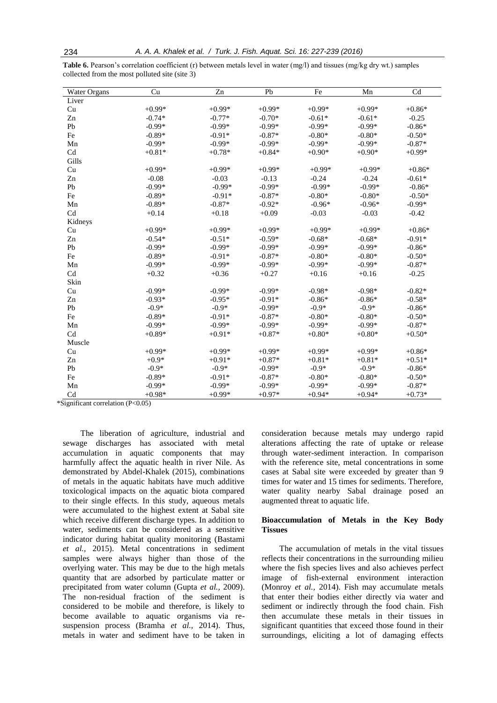| Water Organs   | Cu       | Zn       | Pb       | Fe       | Mn       | Cd       |
|----------------|----------|----------|----------|----------|----------|----------|
| Liver          |          |          |          |          |          |          |
| Cu             | $+0.99*$ | $+0.99*$ | $+0.99*$ | $+0.99*$ | $+0.99*$ | $+0.86*$ |
| Zn             | $-0.74*$ | $-0.77*$ | $-0.70*$ | $-0.61*$ | $-0.61*$ | $-0.25$  |
| Pb             | $-0.99*$ | $-0.99*$ | $-0.99*$ | $-0.99*$ | $-0.99*$ | $-0.86*$ |
| Fe             | $-0.89*$ | $-0.91*$ | $-0.87*$ | $-0.80*$ | $-0.80*$ | $-0.50*$ |
| Mn             | $-0.99*$ | $-0.99*$ | $-0.99*$ | $-0.99*$ | $-0.99*$ | $-0.87*$ |
| Cd             | $+0.81*$ | $+0.78*$ | $+0.84*$ | $+0.90*$ | $+0.90*$ | $+0.99*$ |
| Gills          |          |          |          |          |          |          |
| Cu             | $+0.99*$ | $+0.99*$ | $+0.99*$ | $+0.99*$ | $+0.99*$ | $+0.86*$ |
| Zn             | $-0.08$  | $-0.03$  | $-0.13$  | $-0.24$  | $-0.24$  | $-0.61*$ |
| Pb             | $-0.99*$ | $-0.99*$ | $-0.99*$ | $-0.99*$ | $-0.99*$ | $-0.86*$ |
| Fe             | $-0.89*$ | $-0.91*$ | $-0.87*$ | $-0.80*$ | $-0.80*$ | $-0.50*$ |
| Mn             | $-0.89*$ | $-0.87*$ | $-0.92*$ | $-0.96*$ | $-0.96*$ | $-0.99*$ |
| Cd             | $+0.14$  | $+0.18$  | $+0.09$  | $-0.03$  | $-0.03$  | $-0.42$  |
| Kidneys        |          |          |          |          |          |          |
| Cu             | $+0.99*$ | $+0.99*$ | $+0.99*$ | $+0.99*$ | $+0.99*$ | $+0.86*$ |
| Zn             | $-0.54*$ | $-0.51*$ | $-0.59*$ | $-0.68*$ | $-0.68*$ | $-0.91*$ |
| Pb             | $-0.99*$ | $-0.99*$ | $-0.99*$ | $-0.99*$ | $-0.99*$ | $-0.86*$ |
| Fe             | $-0.89*$ | $-0.91*$ | $-0.87*$ | $-0.80*$ | $-0.80*$ | $-0.50*$ |
| Mn             | $-0.99*$ | $-0.99*$ | $-0.99*$ | $-0.99*$ | $-0.99*$ | $-0.87*$ |
| C <sub>d</sub> | $+0.32$  | $+0.36$  | $+0.27$  | $+0.16$  | $+0.16$  | $-0.25$  |
| Skin           |          |          |          |          |          |          |
| Cu             | $-0.99*$ | $-0.99*$ | $-0.99*$ | $-0.98*$ | $-0.98*$ | $-0.82*$ |
| Zn             | $-0.93*$ | $-0.95*$ | $-0.91*$ | $-0.86*$ | $-0.86*$ | $-0.58*$ |
| Pb             | $-0.9*$  | $-0.9*$  | $-0.99*$ | $-0.9*$  | $-0.9*$  | $-0.86*$ |
| Fe             | $-0.89*$ | $-0.91*$ | $-0.87*$ | $-0.80*$ | $-0.80*$ | $-0.50*$ |
| Mn             | $-0.99*$ | $-0.99*$ | $-0.99*$ | $-0.99*$ | $-0.99*$ | $-0.87*$ |
| C <sub>d</sub> | $+0.89*$ | $+0.91*$ | $+0.87*$ | $+0.80*$ | $+0.80*$ | $+0.50*$ |
| Muscle         |          |          |          |          |          |          |
| Cu             | $+0.99*$ | $+0.99*$ | $+0.99*$ | $+0.99*$ | $+0.99*$ | $+0.86*$ |
| Zn             | $+0.9*$  | $+0.91*$ | $+0.87*$ | $+0.81*$ | $+0.81*$ | $+0.51*$ |
| Pb             | $-0.9*$  | $-0.9*$  | $-0.99*$ | $-0.9*$  | $-0.9*$  | $-0.86*$ |
| Fe             | $-0.89*$ | $-0.91*$ | $-0.87*$ | $-0.80*$ | $-0.80*$ | $-0.50*$ |
| Mn             | $-0.99*$ | $-0.99*$ | $-0.99*$ | $-0.99*$ | $-0.99*$ | $-0.87*$ |
| Cd             | $+0.98*$ | $+0.99*$ | $+0.97*$ | $+0.94*$ | $+0.94*$ | $+0.73*$ |

**Table 6.** Pearson's correlation coefficient (r) between metals level in water (mg/l) and tissues (mg/kg dry wt.) samples collected from the most polluted site (site 3)

\*Significant correlation (P<0.05)

The liberation of agriculture, industrial and sewage discharges has associated with metal accumulation in aquatic components that may harmfully affect the aquatic health in river Nile. As demonstrated by Abdel-Khalek (2015), combinations of metals in the aquatic habitats have much additive toxicological impacts on the aquatic biota compared to their single effects. In this study, aqueous metals were accumulated to the highest extent at Sabal site which receive different discharge types. In addition to water, sediments can be considered as a sensitive indicator during habitat quality monitoring (Bastami *et al.,* 2015). Metal concentrations in sediment samples were always higher than those of the overlying water. This may be due to the high metals quantity that are adsorbed by particulate matter or precipitated from water column (Gupta *et al.,* 2009). The non-residual fraction of the sediment is considered to be mobile and therefore, is likely to become available to aquatic organisms via resuspension process (Bramha *et al.,* 2014). Thus, metals in water and sediment have to be taken in consideration because metals may undergo rapid alterations affecting the rate of uptake or release through water-sediment interaction. In comparison with the reference site, metal concentrations in some cases at Sabal site were exceeded by greater than 9 times for water and 15 times for sediments. Therefore, water quality nearby Sabal drainage posed an augmented threat to aquatic life.

# **Bioaccumulation of Metals in the Key Body Tissues**

The accumulation of metals in the vital tissues reflects their concentrations in the surrounding milieu where the fish species lives and also achieves perfect image of fish-external environment interaction (Monroy *et al.,* 2014). Fish may accumulate metals that enter their bodies either directly via water and sediment or indirectly through the food chain. Fish then accumulate these metals in their tissues in significant quantities that exceed those found in their surroundings, eliciting a lot of damaging effects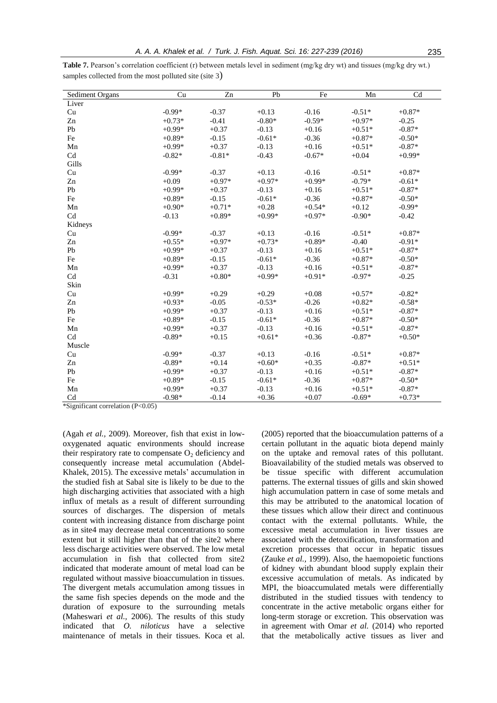| ×<br>w<br>۰. | ۰, |
|--------------|----|

**Table 7.** Pearson's correlation coefficient (r) between metals level in sediment (mg/kg dry wt) and tissues (mg/kg dry wt.) samples collected from the most polluted site (site 3)

| Sediment Organs | Cu       | Zn       | Pb       | Fe       | Mn       | Cd       |
|-----------------|----------|----------|----------|----------|----------|----------|
| Liver           |          |          |          |          |          |          |
| Cu              | $-0.99*$ | $-0.37$  | $+0.13$  | $-0.16$  | $-0.51*$ | $+0.87*$ |
| Zn              | $+0.73*$ | $-0.41$  | $-0.80*$ | $-0.59*$ | $+0.97*$ | $-0.25$  |
| Pb              | $+0.99*$ | $+0.37$  | $-0.13$  | $+0.16$  | $+0.51*$ | $-0.87*$ |
| Fe              | $+0.89*$ | $-0.15$  | $-0.61*$ | $-0.36$  | $+0.87*$ | $-0.50*$ |
| Mn              | $+0.99*$ | $+0.37$  | $-0.13$  | $+0.16$  | $+0.51*$ | $-0.87*$ |
| Cd              | $-0.82*$ | $-0.81*$ | $-0.43$  | $-0.67*$ | $+0.04$  | $+0.99*$ |
| Gills           |          |          |          |          |          |          |
| Cu              | $-0.99*$ | $-0.37$  | $+0.13$  | $-0.16$  | $-0.51*$ | $+0.87*$ |
| Zn              | $+0.09$  | $+0.97*$ | $+0.97*$ | $+0.99*$ | $-0.79*$ | $-0.61*$ |
| Pb              | $+0.99*$ | $+0.37$  | $-0.13$  | $+0.16$  | $+0.51*$ | $-0.87*$ |
| Fe              | $+0.89*$ | $-0.15$  | $-0.61*$ | $-0.36$  | $+0.87*$ | $-0.50*$ |
| Mn              | $+0.90*$ | $+0.71*$ | $+0.28$  | $+0.54*$ | $+0.12$  | $-0.99*$ |
| Cd              | $-0.13$  | $+0.89*$ | $+0.99*$ | $+0.97*$ | $-0.90*$ | $-0.42$  |
| Kidneys         |          |          |          |          |          |          |
| Cu              | $-0.99*$ | $-0.37$  | $+0.13$  | $-0.16$  | $-0.51*$ | $+0.87*$ |
| Zn              | $+0.55*$ | $+0.97*$ | $+0.73*$ | $+0.89*$ | $-0.40$  | $-0.91*$ |
| Pb              | $+0.99*$ | $+0.37$  | $-0.13$  | $+0.16$  | $+0.51*$ | $-0.87*$ |
| Fe              | $+0.89*$ | $-0.15$  | $-0.61*$ | $-0.36$  | $+0.87*$ | $-0.50*$ |
| Mn              | $+0.99*$ | $+0.37$  | $-0.13$  | $+0.16$  | $+0.51*$ | $-0.87*$ |
| C <sub>d</sub>  | $-0.31$  | $+0.80*$ | $+0.99*$ | $+0.91*$ | $-0.97*$ | $-0.25$  |
| Skin            |          |          |          |          |          |          |
| Cu              | $+0.99*$ | $+0.29$  | $+0.29$  | $+0.08$  | $+0.57*$ | $-0.82*$ |
| Zn              | $+0.93*$ | $-0.05$  | $-0.53*$ | $-0.26$  | $+0.82*$ | $-0.58*$ |
| Pb              | $+0.99*$ | $+0.37$  | $-0.13$  | $+0.16$  | $+0.51*$ | $-0.87*$ |
| Fe              | $+0.89*$ | $-0.15$  | $-0.61*$ | $-0.36$  | $+0.87*$ | $-0.50*$ |
| Mn              | $+0.99*$ | $+0.37$  | $-0.13$  | $+0.16$  | $+0.51*$ | $-0.87*$ |
| Cd              | $-0.89*$ | $+0.15$  | $+0.61*$ | $+0.36$  | $-0.87*$ | $+0.50*$ |
| Muscle          |          |          |          |          |          |          |
| Cu              | $-0.99*$ | $-0.37$  | $+0.13$  | $-0.16$  | $-0.51*$ | $+0.87*$ |
| Zn              | $-0.89*$ | $+0.14$  | $+0.60*$ | $+0.35$  | $-0.87*$ | $+0.51*$ |
| Pb              | $+0.99*$ | $+0.37$  | $-0.13$  | $+0.16$  | $+0.51*$ | $-0.87*$ |
| Fe              | $+0.89*$ | $-0.15$  | $-0.61*$ | $-0.36$  | $+0.87*$ | $-0.50*$ |
| Mn              | $+0.99*$ | $+0.37$  | $-0.13$  | $+0.16$  | $+0.51*$ | $-0.87*$ |
| Cd              | $-0.98*$ | $-0.14$  | $+0.36$  | $+0.07$  | $-0.69*$ | $+0.73*$ |

\*Significant correlation (P<0.05)

(Agah *et al.,* 2009). Moreover, fish that exist in lowoxygenated aquatic environments should increase their respiratory rate to compensate  $O<sub>2</sub>$  deficiency and consequently increase metal accumulation (Abdel-Khalek, 2015). The excessive metals' accumulation in the studied fish at Sabal site is likely to be due to the high discharging activities that associated with a high influx of metals as a result of different surrounding sources of discharges. The dispersion of metals content with increasing distance from discharge point as in site4 may decrease metal concentrations to some extent but it still higher than that of the site2 where less discharge activities were observed. The low metal accumulation in fish that collected from site2 indicated that moderate amount of metal load can be regulated without massive bioaccumulation in tissues. The divergent metals accumulation among tissues in the same fish species depends on the mode and the duration of exposure to the surrounding metals (Maheswari *et al.,* 2006). The results of this study indicated that *O. niloticus* have a selective maintenance of metals in their tissues. Koca et al. (2005) reported that the bioaccumulation patterns of a certain pollutant in the aquatic biota depend mainly on the uptake and removal rates of this pollutant. Bioavailability of the studied metals was observed to be tissue specific with different accumulation patterns. The external tissues of gills and skin showed high accumulation pattern in case of some metals and this may be attributed to the anatomical location of these tissues which allow their direct and continuous contact with the external pollutants. While, the excessive metal accumulation in liver tissues are associated with the detoxification, transformation and excretion processes that occur in hepatic tissues (Zauke *et al.,* 1999). Also, the haemopoietic functions of kidney with abundant blood supply explain their excessive accumulation of metals. As indicated by MPI, the bioaccumulated metals were differentially distributed in the studied tissues with tendency to concentrate in the active metabolic organs either for long-term storage or excretion. This observation was in agreement with Omar *et al.* (2014) who reported that the metabolically active tissues as liver and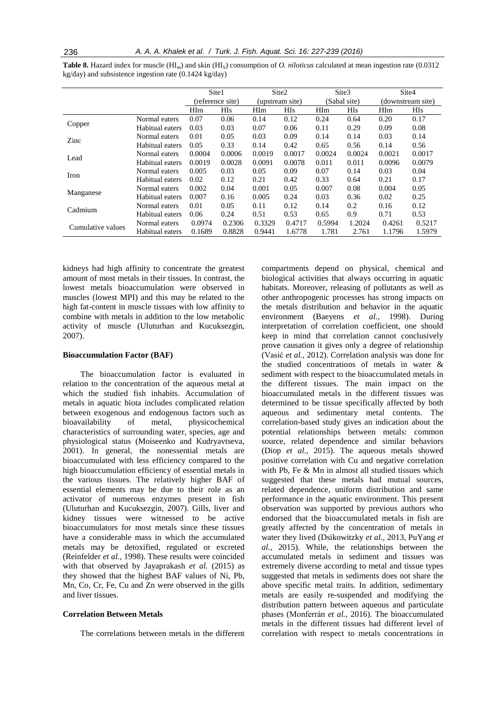|                   |                 | Site1            |            | Site <sub>2</sub> |            | Site3        |            | Site4             |            |
|-------------------|-----------------|------------------|------------|-------------------|------------|--------------|------------|-------------------|------------|
|                   |                 | (reference site) |            | (upstream site)   |            | (Sabal site) |            | (downstream site) |            |
|                   |                 | HIm              | <b>HIs</b> | HIm               | <b>HIs</b> | HIm          | <b>HIs</b> | HIm               | <b>HIs</b> |
|                   | Normal eaters   | 0.07             | 0.06       | 0.14              | 0.12       | 0.24         | 0.64       | 0.20              | 0.17       |
| Copper            | Habitual eaters | 0.03             | 0.03       | 0.07              | 0.06       | 0.11         | 0.29       | 0.09              | 0.08       |
| Zinc              | Normal eaters   | 0.01             | 0.05       | 0.03              | 0.09       | 0.14         | 0.14       | 0.03              | 0.14       |
|                   | Habitual eaters | 0.05             | 0.33       | 0.14              | 0.42       | 0.65         | 0.56       | 0.14              | 0.56       |
|                   | Normal eaters   | 0.0004           | 0.0006     | 0.0019            | 0.0017     | 0.0024       | 0.0024     | 0.0021            | 0.0017     |
| Lead              | Habitual eaters | 0.0019           | 0.0028     | 0.0091            | 0.0078     | 0.011        | 0.011      | 0.0096            | 0.0079     |
|                   | Normal eaters   | 0.005            | 0.03       | 0.05              | 0.09       | 0.07         | 0.14       | 0.03              | 0.04       |
| Iron              | Habitual eaters | 0.02             | 0.12       | 0.21              | 0.42       | 0.33         | 0.64       | 0.21              | 0.17       |
|                   | Normal eaters   | 0.002            | 0.04       | 0.001             | 0.05       | 0.007        | 0.08       | 0.004             | 0.05       |
| Manganese         | Habitual eaters | 0.007            | 0.16       | 0.005             | 0.24       | 0.03         | 0.36       | 0.02              | 0.25       |
| Cadmium           | Normal eaters   | 0.01             | 0.05       | 0.11              | 0.12       | 0.14         | 0.2        | 0.16              | 0.12       |
|                   | Habitual eaters | 0.06             | 0.24       | 0.51              | 0.53       | 0.65         | 0.9        | 0.71              | 0.53       |
| Cumulative values | Normal eaters   | 0.0974           | 0.2306     | 0.3329            | 0.4717     | 0.5994       | 1.2024     | 0.4261            | 0.5217     |
|                   | Habitual eaters | 0.1689           | 0.8828     | 0.9441            | 1.6778     | 1.781        | 2.761      | 1.1796            | 1.5979     |

**Table 8.** Hazard index for muscle  $(H_{\text{Im}})$  and skin  $(H_{\text{S}})$  consumption of *O. niloticus* calculated at mean ingestion rate (0.0312) kg/day) and subsistence ingestion rate (0.1424 kg/day)

kidneys had high affinity to concentrate the greatest amount of most metals in their tissues. In contrast, the lowest metals bioaccumulation were observed in muscles (lowest MPI) and this may be related to the high fat-content in muscle tissues with low affinity to combine with metals in addition to the low metabolic activity of muscle (Uluturhan and Kucuksezgin, 2007).

#### **Bioaccumulation Factor (BAF)**

The bioaccumulation factor is evaluated in relation to the concentration of the aqueous metal at which the studied fish inhabits. Accumulation of metals in aquatic biota includes complicated relation between exogenous and endogenous factors such as bioavailability of metal, physicochemical characteristics of surrounding water, species, age and physiological status (Moiseenko and Kudryavtseva, 2001). In general, the nonessential metals are bioaccumulated with less efficiency compared to the high bioaccumulation efficiency of essential metals in the various tissues. The relatively higher BAF of essential elements may be due to their role as an activator of numerous enzymes present in fish (Uluturhan and Kucuksezgin, 2007). Gills, liver and kidney tissues were witnessed to be active bioaccumulators for most metals since these tissues have a considerable mass in which the accumulated metals may be detoxified, regulated or excreted (Reinfelder *et al.,* 1998). These results were coincided with that observed by Jayaprakash *et al.* (2015) as they showed that the highest BAF values of Ni, Pb, Mn, Co, Cr, Fe, Cu and Zn were observed in the gills and liver tissues.

#### **Correlation Between Metals**

The correlations between metals in the different

compartments depend on physical, chemical and biological activities that always occurring in aquatic habitats. Moreover, releasing of pollutants as well as other anthropogenic processes has strong impacts on the metals distribution and behavior in the aquatic environment (Baeyens *et al.,* 1998). During interpretation of correlation coefficient, one should keep in mind that correlation cannot conclusively prove causation it gives only a degree of relationship (Vasić *et al.,* 2012). Correlation analysis was done for the studied concentrations of metals in water & sediment with respect to the bioaccumulated metals in the different tissues. The main impact on the bioaccumulated metals in the different tissues was determined to be tissue specifically affected by both aqueous and sedimentary metal contents. The correlation-based study gives an indication about the potential relationships between metals: common source, related dependence and similar behaviors (Diop *et al.,* 2015). The aqueous metals showed positive correlation with Cu and negative correlation with Pb, Fe & Mn in almost all studied tissues which suggested that these metals had mutual sources, related dependence, uniform distribution and same performance in the aquatic environment. This present observation was supported by previous authors who endorsed that the bioaccumulated metals in fish are greatly affected by the concentration of metals in water they lived (Dsikowitzky *et al.,* 2013, PuYang *et al.,* 2015). While, the relationships between the accumulated metals in sediment and tissues was extremely diverse according to metal and tissue types suggested that metals in sediments does not share the above specific metal traits. In addition, sedimentary metals are easily re-suspended and modifying the distribution pattern between aqueous and particulate phases (Monferrán *et al.,* 2016). The bioaccumulated metals in the different tissues had different level of correlation with respect to metals concentrations in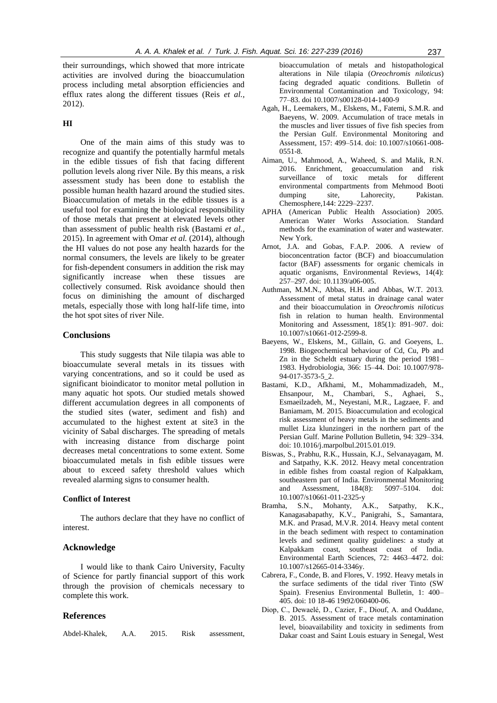their surroundings, which showed that more intricate activities are involved during the bioaccumulation process including metal absorption efficiencies and efflux rates along the different tissues (Reis *et al.,* 2012).

### **HI**

One of the main aims of this study was to recognize and quantify the potentially harmful metals in the edible tissues of fish that facing different pollution levels along river Nile. By this means, a risk assessment study has been done to establish the possible human health hazard around the studied sites. Bioaccumulation of metals in the edible tissues is a useful tool for examining the biological responsibility of those metals that present at elevated levels other than assessment of public health risk (Bastami *et al.,* 2015). In agreement with Omar *et al.* (2014), although the HI values do not pose any health hazards for the normal consumers, the levels are likely to be greater for fish-dependent consumers in addition the risk may significantly increase when these tissues are collectively consumed. Risk avoidance should then focus on diminishing the amount of discharged metals, especially those with long half-life time, into the hot spot sites of river Nile.

# **Conclusions**

This study suggests that Nile tilapia was able to bioaccumulate several metals in its tissues with varying concentrations, and so it could be used as significant bioindicator to monitor metal pollution in many aquatic hot spots. Our studied metals showed different accumulation degrees in all components of the studied sites (water, sediment and fish) and accumulated to the highest extent at site3 in the vicinity of Sabal discharges. The spreading of metals with increasing distance from discharge point decreases metal concentrations to some extent. Some bioaccumulated metals in fish edible tissues were about to exceed safety threshold values which revealed alarming signs to consumer health.

### **Conflict of Interest**

The authors declare that they have no conflict of interest.

### **Acknowledge**

I would like to thank Cairo University, Faculty of Science for partly financial support of this work through the provision of chemicals necessary to complete this work.

# **References**

Abdel-Khalek, A.A. 2015. Risk assessment,

bioaccumulation of metals and histopathological alterations in Nile tilapia (*Oreochromis niloticus*) facing degraded aquatic conditions. Bulletin of Environmental Contamination and Toxicology, 94: 77–83. doi 10.1007/s00128-014-1400-9

- Agah, H., Leemakers, M., Elskens, M., Fatemi, S.M.R. and Baeyens, W. 2009. Accumulation of trace metals in the muscles and liver tissues of five fish species from the Persian Gulf. Environmental Monitoring and Assessment, 157: 499–514. doi: 10.1007/s10661-008- 0551-8.
- Aiman, U., Mahmood, A., Waheed, S. and Malik, R.N. 2016. Enrichment, geoaccumulation and risk surveillance of toxic metals for different environmental compartments from Mehmood Booti dumping site, Lahorecity, Pakistan. Chemosphere,144: 2229–2237.
- APHA (American Public Health Association) 2005. American Water Works Association. Standard methods for the examination of water and wastewater. New York.
- Arnot, J.A. and Gobas, F.A.P. 2006. A review of bioconcentration factor (BCF) and bioaccumulation factor (BAF) assessments for organic chemicals in aquatic organisms, Environmental Reviews, 14(4): 257–297. doi: 10.1139/a06-005.
- Authman, M.M.N., Abbas, H.H. and Abbas, W.T. 2013. Assessment of metal status in drainage canal water and their bioaccumulation in *Oreochromis niloticus* fish in relation to human health. Environmental Monitoring and Assessment, 185(1): 891–907. doi: 10.1007/s10661-012-2599-8.
- Baeyens, W., Elskens, M., Gillain, G. and Goeyens, L. 1998. Biogeochemical behaviour of Cd, Cu, Pb and Zn in the Scheldt estuary during the period 1981– 1983. Hydrobiologia, 366: 15–44. Doi: 10.1007/978- 94-017-3573-5\_2.
- Bastami, K.D., Afkhami, M., Mohammadizadeh, M., Ehsanpour, M., Chambari, S., Aghaei, S., Esmaeilzadeh, M., Neyestani, M.R., Lagzaee, F. and Baniamam, M. 2015. Bioaccumulation and ecological risk assessment of heavy metals in the sediments and mullet Liza klunzingeri in the northern part of the Persian Gulf. Marine Pollution Bulletin, 94: 329–334. doi: 10.1016/j.marpolbul.2015.01.019.
- Biswas, S., Prabhu, R.K., Hussain, K.J., Selvanayagam, M. and Satpathy, K.K. 2012. Heavy metal concentration in edible fishes from coastal region of Kalpakkam, southeastern part of India. Environmental Monitoring and Assessment, 184(8): 5097–5104. doi: 10.1007/s10661-011-2325-y
- Bramha, S.N., Mohanty, A.K., Satpathy, K.K., Kanagasabapathy, K.V., Panigrahi, S., Samantara, M.K. and Prasad, M.V.R. 2014. Heavy metal content in the beach sediment with respect to contamination levels and sediment quality guidelines: a study at Kalpakkam coast, southeast coast of India. Environmental Earth Sciences, 72: 4463–4472. doi: 10.1007/s12665-014-3346y.
- Cabrera, F., Conde, B. and Flores, V. 1992. Heavy metals in the surface sediments of the tidal river Tinto (SW Spain). Fresenius Environmental Bulletin, 1: 400– 405. doi: 10 18-46 19t92/060400-06.
- Diop, C., Dewaelé, D., Cazier, F., Diouf, A. and Ouddane, B. 2015. Assessment of trace metals contamination level, bioavailability and toxicity in sediments from Dakar coast and Saint Louis estuary in Senegal, West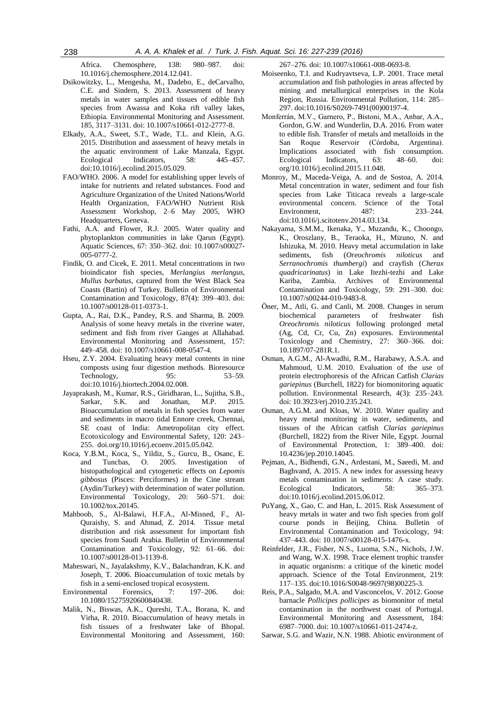Africa. Chemosphere, 138: 980–987. doi: 10.1016/j.chemosphere.2014.12.041.

- Dsikowitzky, L., Mengesha, M., Dadebo, E., deCarvalho, C.E. and Sindern, S. 2013. Assessment of heavy metals in water samples and tissues of edible fish species from Awassa and Koka rift valley lakes, Ethiopia. Environmental Monitoring and Assessment. 185, 3117–3131. doi: 10.1007/s10661-012-2777-8.
- Elkady, A.A., Sweet, S.T., Wade, T.L. and Klein, A.G. 2015. Distribution and assessment of heavy metals in the aquatic environment of Lake Manzala, Egypt. Ecological Indicators, 58: 445–457. doi:10.1016/j.ecolind.2015.05.029.
- FAO/WHO. 2006. A model for establishing upper levels of intake for nutrients and related substances. Food and Agriculture Organization of the United Nations/World Health Organization, FAO/WHO Nutrient Risk Assessment Workshop, 2–6 May 2005, WHO Headquarters, Geneva.
- Fathi, A.A. and Flower, R.J. 2005. Water quality and phytoplankton communities in lake Qarun (Egypt). Aquatic Sciences, 67: 350–362. doi: 10.1007/s00027- 005-0777-2.
- Findik, O. and Cicek, E. 2011. Metal concentrations in two bioindicator fish species, *Merlangius merlangus, Mullus barbatus*, captured from the West Black Sea Coasts (Bartin) of Turkey. Bulletin of Environmental Contamination and Toxicology, 87(4): 399–403. doi: 10.1007/s00128-011-0373-1.
- Gupta, A., Rai, D.K., Pandey, R.S. and Sharma, B. 2009. Analysis of some heavy metals in the riverine water, sediment and fish from river Ganges at Allahabad. Environmental Monitoring and Assessment, 157: 449–458. doi: 10.1007/s10661-008-0547-4.
- Hseu, Z.Y. 2004. Evaluating heavy metal contents in nine composts using four digestion methods. Bioresource Technology, 95: 53–59. doi:10.1016/j.biortech.2004.02.008.
- Jayaprakash, M., Kumar, R.S., Giridharan, L., Sujitha, S.B., Sarkar, S.K. and Jonathan, M.P. 2015. Bioaccumulation of metals in fish species from water and sediments in macro tidal Ennore creek, Chennai, SE coast of India: Ametropolitan city effect. Ecotoxicology and Environmental Safety, 120: 243– 255. doi.org/10.1016/j.ecoenv.2015.05.042.
- Koca, Y.B.M., Koca, S., Yildiz, S., Gurcu, B., Osanc, E. and Tuncbas, O. 2005. Investigation of histopathological and cytogenetic effects on *Lepomis gibbosus* (Pisces: Perciformes) in the Cine stream (Aydin/Turkey) with determination of water pollution. Environmental Toxicology, 20: 560–571. doi: 10.1002/tox.20145.
- Mahboob, S., Al-Balawi, H.F.A., Al-Misned, F., Al-Quraishy, S. and Ahmad, Z. 2014. Tissue metal distribution and risk assessment for important fish species from Saudi Arabia. Bulletin of Environmental Contamination and Toxicology, 92: 61–66. doi: 10.1007/s00128-013-1139-8.
- Maheswari, N., Jayalakshmy, K.V., Balachandran, K.K. and Joseph, T. 2006. Bioaccumulation of toxic metals by fish in a semi-enclosed tropical ecosystem.
- Environmental Forensics, 7: 197–206. doi: 10.1080/15275920600840438.
- Malik, N., Biswas, A.K., Qureshi, T.A., Borana, K. and Virha, R. 2010. Bioaccumulation of heavy metals in fish tissues of a freshwater lake of Bhopal. Environmental Monitoring and Assessment, 160:

267–276. doi: 10.1007/s10661-008-0693-8.

- Moiseenko, T.I. and Kudryavtseva, L.P. 2001. Trace metal accumulation and fish pathologies in areas affected by mining and metallurgical enterprises in the Kola Region, Russia. Environmental Pollution, 114: 285– 297. doi:10.1016/S0269-7491(00)00197-4.
- Monferrán, M.V., Garnero, P., Bistoni, M.A., Anbar, A.A., Gordon, G.W. and Wunderlin, D.A. 2016. From water to edible fish. Transfer of metals and metalloids in the San Roque Reservoir (Córdoba, Argentina). Implications associated with fish consumption. Ecological Indicators, 63: 48–60. doi: org/10.1016/j.ecolind.2015.11.048.
- Monroy, M., Maceda-Veiga, A. and de Sostoa, A. 2014. Metal concentration in water, sediment and four fish species from Lake Titicaca reveals a large-scale environmental concern. Science of the Total Environment, 487: 233–244. doi:10.1016/j.scitotenv.2014.03.134.
- Nakayama, S.M.M., Ikenaka, Y., Muzandu, K., Choongo, K., Oroszlany, B., Teraoka, H., Mizuno, N. and Ishizuka, M. 2010. Heavy metal accumulation in lake sediments, fish (*Oreochromis niloticus* and *Serranochromis thumbergi*) and crayfish (*Cherax quadricarinatus*) in Lake Itezhi-tezhi and Lake Kariba, Zambia. Archives of Environmental Contamination and Toxicology, 59: 291–300. doi: 10.1007/s00244-010-9483-8.
- Öner, M., Atli, G. and Canli, M. 2008. Changes in serum biochemical parameters of freshwater fish *Oreochromis niloticus* following prolonged metal (Ag, Cd, Cr, Cu, Zn) exposures. Environmental Toxicology and Chemistry, 27: 360–366. doi: 10.1897/07-281R.1.
- Osman, A.G.M., Al-Awadhi, R.M., Harabawy, A.S.A. and Mahmoud, U.M. 2010. Evaluation of the use of protein electrophoresis of the African Catfish *Clarias gariepinus* (Burchell, 1822) for biomonitoring aquatic pollution. Environmental Research, 4(3): 235–243. doi: 10.3923/erj.2010.235.243.
- Osman, A.G.M. and Kloas, W. 2010. Water quality and heavy metal monitoring in water, sediments, and tissues of the African catfish *Clarias gariepinus* (Burchell, 1822) from the River Nile, Egypt. Journal of Environmental Protection, 1: 389–400. doi: 10.4236/jep.2010.14045.
- Pejman, A., Bidhendi, G.N., Ardestani, M., Saeedi, M. and Baghvand, A. 2015. A new index for assessing heavy metals contamination in sediments: A case study.<br>Ecological Indicators. 58: 365–373. Ecological Indicators, 58: doi:10.1016/j.ecolind.2015.06.012.
- PuYang, X., Gao, C. and Han, L. 2015. Risk Assessment of heavy metals in water and two fish species from golf course ponds in Beijing, China. Bulletin of Environmental Contamination and Toxicology, 94: 437–443. doi: 10.1007/s00128-015-1476-x.
- Reinfelder, J.R., Fisher, N.S., Luoma, S.N., Nichols, J.W. and Wang, W.X. 1998. Trace element trophic transfer in aquatic organisms: a critique of the kinetic model approach. Science of the Total Environment, 219: 117–135. doi:10.1016/S0048-9697(98)00225-3.
- Reis, P.A., Salgado, M.A. and Vasconcelos, V. 2012. Goose barnacle *Pollicipes pollicipes* as biomonitor of metal contamination in the northwest coast of Portugal. Environmental Monitoring and Assessment, 184: 6987–7000. doi: 10.1007/s10661-011-2474-z.
- Sarwar, S.G. and Wazir, N.N. 1988. Abiotic environment of